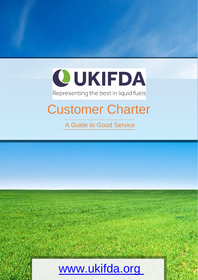

### Representing the best in liquid fuels

## Customer Charter

A Guide to Good Service

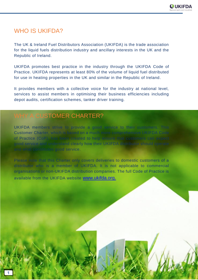### WHO IS UKIFDA?

The UK & Ireland Fuel Distributors Association (UKIFDA) is the trade association for the liquid fuels distribution industry and ancillary interests in the UK and the Republic of Ireland.

UKIFDA promotes best practice in the industry through the UKIFDA Code of Practice. UKIFDA represents at least 80% of the volume of liquid fuel distributed for use in heating properties in the UK and similar in the Republic of Ireland.

It provides members with a collective voice for the industry at national level, services to assist members in optimising their business efficiencies including depot audits, certification schemes, tanker driver training.

### WHY A CUSTOMER CHARTER?

UKIFDA members strive to provide a good service to their customers. This Customer Charter, which is based on a much more comprehensive UKIFDA Code of Practice (CoP), has been created to help ensure that customers can expect good service and understand clearly how their UKIFDA distributor should operate and what constitutes good service.

Please note that this Charter only covers deliveries to domestic customers of a distributor who is a member of UKIFDA. It is not applicable to commercial organisations or non-UKIFDA distribution companies. The full Code of Practice is available from the UKIFDA website [www.ukifda.org](http://www.ukifda.org./).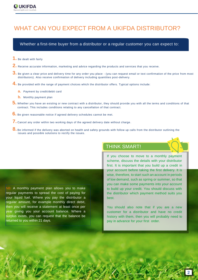### WHAT CAN YOU EXPECT FROM A UKIFDA DISTRIBUTOR?

### Whether a first-time buyer from a distributor or a regular customer you can expect to:

- **1.** Be dealt with fairly
- **2.** Receive accurate information, marketing and advice regarding the products and services that you receive.
- 3. Be given a clear price and delivery time for any order you place (you can request email or text confirmation of the price from most distributors). Also receive confirmation of delivery including quantities post-delivery.
- **4.** Be provided with the range of payment choices which the distributor offers. Typical options include:
	- **a.** Payment by credit/debit card
	- **b.** Monthly payment plan
- **5.** Whether you have an existing or new contract with a distributor, they should provide you with all the terms and conditions of that contract. This includes conditions relating to any cancellation of that contract.
- **6.** Be given reasonable notice if agreed delivery schedules cannot be met.
- **7.** Cancel any order within two working days of the agreed delivery date without charge .
- **8.** Be informed if the delivery was aborted on health and safety grounds with follow up calls from the distributor outlining the issues and possible solutions to rectify the issues.

NB: A monthly payment plan allows you to make regular payments to spread the cost of paying for your liquid fuel. Where you pay the distributor a regular amount, for example monthly direct debit, then you will receive a statement at least once per year giving you your account balance. Where a surplus exists, you can request that the balance be returned to you within 21 days.

### THINK SMART!

If you choose to move to a monthly payment scheme, discuss the details with your distributor first. It is important that you build up a credit in your account before taking the first delivery. It is wise, therefore, to start such an account in periods of low demand, such as spring or summer, so that you can make some payments into your account to build up your credit. You should discuss with the distributor which payment method suits you best.

You should also note that if you are a new customer for a distributor and have no credit history with them, then you will probably need to pay in advance for your first order.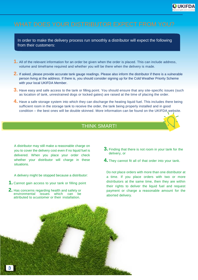

In order to make the delivery process run smoothly a distributor will expect the following from their customers:

- **1.** All of the relevant information for an order be given when the order is placed. This can include address, volume and timeframe required and whether you will be there when the delivery is made.
- **2.** If asked, please provide accurate tank gauge readings. Please also inform the distributor if there is a vulnerable person living at the address. If there is, you should consider signing up for the Cold Weather Priority Scheme with your local UKIFDA Member.
- **3.** Have easy and safe access to the tank or filling point. You should ensure that any site-specific issues (such as location of tank, unrestrained dogs or locked gates) are raised at the time of placing the order.
- **4.** Have a safe storage system into which they can discharge the heating liquid fuel. This includes there being sufficient room in the storage tank to receive the order, the tank being properly installed and in good condition – the best ones will be double skinned. More information can be found on the UKIFDA website.

### THINK SMART!

A distributor may still make a reasonable charge on you to cover the delivery cost even if no liquid fuel is delivered. When you place your order check whether your distributor will charge in these situations.

A delivery might be stopped because a distributor:

- **1.** Cannot gain access to your tank or filling point
- **2.** Has concerns regarding health and safety or environmental issues which can be attributed to a customer or their installation.
- **3.** Finding that there is not room in your tank for the delivery, or
- **4.** They cannot fit all of that order into your tank.

Do not place orders with more than one distributor at a time. If you place orders with two or more distributors at the same time, then they are within their rights to deliver the liquid fuel and request payment or charge a reasonable amount for the aborted delivery.

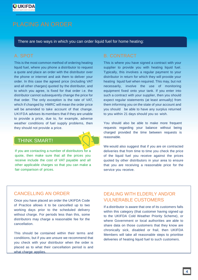

There are two ways in which you can order liquid fuel for home heating:

This is the most common method of ordering heating liquid fuel, where you phone a distributor to request a quote and place an order with the distributor over the phone or internet and ask them to deliver your order. In this case the agreed price (including VAT and all other charges) quoted by the distributor, and to which you agree, is fixed for that order i.e. the distributor cannot subsequently change the price for that order. The only exception is the rate of VAT, which if changed by HMRC will mean the order price will be amended to take account of that change. UKIFDA advises its members that if they are unable to provide a price, due to, for example, adverse weather conditions of fuel supply problems, then they should not provide a price.

### THINK SMART!



If you are contacting a number of distributors for a quote, then make sure that all the prices you receive include the cost of VAT payable and all other applicable charges so that you can make a fair comparison of prices.

This is where you have signed a contract with your supplier to provide you with heating liquid fuel. Typically, this involves a regular payment to your distributor in return for which they will provide your heating liquid fuel when required. This may, but not necessarily, involve the use of monitoring equipment fixed onto your tank. If you enter into such a contract with your supplier, then you should expect regular statements (at least annually) from them informing you on the state of your account and you should be able to have any surplus returned to you within 21 days should you so wish.

You should also be able to make more frequent requests regarding your balance without being charged provided the time between requests is reasonable.

We would also suggest that if you are on contracted deliveries that from time to time you check the price of the liquid fuel you receive against the prices quoted by other distributors in your area to ensure that you are receiving a reasonable price for the service you receive.

### CANCELLING AN ORDER

Once you have placed an order the UKIFDA Code of Practice allows it to be cancelled up to two working days prior to the scheduled delivery without charge. For periods less than this, some distributors may charge a reasonable fee for the cancellation.

This should be contained within their terms and conditions, but if you are unsure we recommend that you check with your distributor when the order is placed as to what their cancellation period is and what charge applies.

### DEALING WITH ELDERLY AND/OR VULNERABLE CUSTOMERS

If a distributor is aware that one of its customers falls within this category (that customer having signed up to the UKIFDA Cold Weather Priority Scheme), or where Government or local authorities are able to share data on those customers that they know are chronically sick, disabled or frail, then UKIFDA Members will take all reasonable steps to prioritise deliveries of heating liquid fuel to such customers.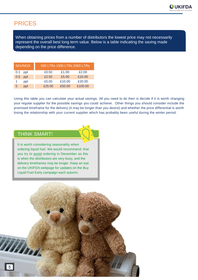

### PRICES

When obtaining prices from a number of distributors the lowest price may not necessarily represent the overall best long term value. Below is a table indicating the saving made depending on the price difference.

| <b>SAVINGS</b> |        | 500 LTRs 1000 LTRs 2000 LTRs |         |
|----------------|--------|------------------------------|---------|
| 0.1<br>ppl     | £0.50  | £1.00                        | £2.00   |
| 0.5<br>ppl     | £2.50  | £5.00                        | £10.00  |
| ppl            | £5.00  | £10.00                       | £20.00  |
| ppl<br>5       | £25.00 | £50.00                       | £100.00 |

Using this table you can calculate your actual savings. All you need to do then is decide if it is worth changing your regular supplier for the possible savings you could achieve. Other things you should consider include the promised timeframe for the delivery (it may be longer than you desire) and whether the price differential is worth losing the relationship with your current supplier which has probably been useful during the winter period.

### THINK SMART!

It is worth considering seasonality when ordering liquid fuel. We would recommend that you try to avoid ordering in December as this is when the distributors are very busy, and the delivery timeframes may be longer. Keep an eye on the UKIFDA webpage for updates on the Buy Liquid Fuel Early campaign each autumn.

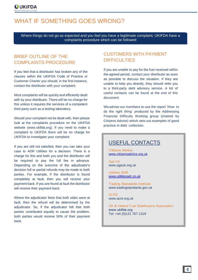### WHAT IF SOMETHING GOES WRONG?

Where things do not go as expected and you feel you have a legitimate complaint, UKIFDA have a complaints procedure which can be followed

### BRIEF OUTLINE OF THE COMPLAINTS PROCEDURE

If you feel that a distributor has broken any of the clauses within the UKIFDA Code of Practice or Customer Charter you should, in the first instance, contact the distributor with your complaint.

Most complaints will be quickly and efficiently dealt with by your distributor. There will be no charge for this unless it requires the services of a competent third party such as a testing laboratory.

Should your complaint not be dealt with, then please look at the complaints procedure on the UKIFDA website (www.ukifda.org). If you need to make a complaint to UKIFDA there will be no charge for UKIFDA to investigate your complaint.

If you are still not satisfied, then you can take your case to ADR Utilities for a decision. There is a charge for this and both you and the distributor will be required to pay the full fee in advance. Depending on the outcome of the adjudicator's decision full or partial refunds may be made to both parties. For example, if the distributor is found completely at fault, then you will receive your payment back. If you are found at fault the distributor will receive their payment back.

Where the adjudicator feels that both sides were at fault, then the refund will be determined by the adjudicator. So, if the adjudicator felt that both parties contributed equally to cause the problem, both parties would receive 50% of their payment back.

### CUSTOMERS WITH PAYMENT **DIFFICULTIES**

If you are unable to pay for the fuel received within the agreed period, contact your distributor as soon as possible to discuss the situation. If they are unable to help you directly, they should refer you to a third-party debt advisory service. A list of useful contacts can be found at the end of this document.

We advise our members to use the report 'How to do the right thing' produced by the Addressing Financial Difficulty Working group (chaired by Citizens Advice) which sets out examples of good practice in debt collection.

### USEFUL CONTACTS

**Citizens Advice** [www.citizensadvice.org.uk](http://www.citizensadvice.org.uk/)

Age UK [www.ageuk.org.uk](http://www.ageuk.org.uk/)

**Utilities ADR** [www.utilitiesadr.co.uk](http://www.utilitiesadr.co.uk/)

**Trading Standards Institute** [www.tradingstandards.gov.uk](http://www.tradingstandards.gov.uk/)

ACRE [www.acre.org.uk](http://www.acre.org.uk/)

**UK & Ireland Fuel Distributors Association** www.ukifda.org Tel: +44 (0)121 767 1319